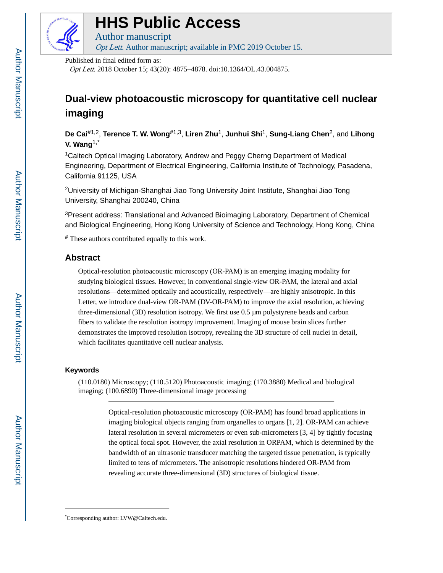

# **HHS Public Access**

Author manuscript Opt Lett. Author manuscript; available in PMC 2019 October 15.

Published in final edited form as:

Opt Lett. 2018 October 15; 43(20): 4875–4878. doi:10.1364/OL.43.004875.

# **Dual-view photoacoustic microscopy for quantitative cell nuclear imaging**

**De Cai**#1,2, **Terence T. W. Wong**#1,3, **Liren Zhu**1, **Junhui Shi**1, **Sung-Liang Chen**2, and **Lihong V. Wang**1,\*

<sup>1</sup>Caltech Optical Imaging Laboratory, Andrew and Peggy Cherng Department of Medical Engineering, Department of Electrical Engineering, California Institute of Technology, Pasadena, California 91125, USA

<sup>2</sup>University of Michigan-Shanghai Jiao Tong University Joint Institute, Shanghai Jiao Tong University, Shanghai 200240, China

<sup>3</sup>Present address: Translational and Advanced Bioimaging Laboratory, Department of Chemical and Biological Engineering, Hong Kong University of Science and Technology, Hong Kong, China

# These authors contributed equally to this work.

# **Abstract**

Optical-resolution photoacoustic microscopy (OR-PAM) is an emerging imaging modality for studying biological tissues. However, in conventional single-view OR-PAM, the lateral and axial resolutions—determined optically and acoustically, respectively—are highly anisotropic. In this Letter, we introduce dual-view OR-PAM (DV-OR-PAM) to improve the axial resolution, achieving three-dimensional (3D) resolution isotropy. We first use 0.5 μm polystyrene beads and carbon fibers to validate the resolution isotropy improvement. Imaging of mouse brain slices further demonstrates the improved resolution isotropy, revealing the 3D structure of cell nuclei in detail, which facilitates quantitative cell nuclear analysis.

# **Keywords**

(110.0180) Microscopy; (110.5120) Photoacoustic imaging; (170.3880) Medical and biological imaging; (100.6890) Three-dimensional image processing

> Optical-resolution photoacoustic microscopy (OR-PAM) has found broad applications in imaging biological objects ranging from organelles to organs [1, 2]. OR-PAM can achieve lateral resolution in several micrometers or even sub-micrometers [3, 4] by tightly focusing the optical focal spot. However, the axial resolution in ORPAM, which is determined by the bandwidth of an ultrasonic transducer matching the targeted tissue penetration, is typically limited to tens of micrometers. The anisotropic resolutions hindered OR-PAM from revealing accurate three-dimensional (3D) structures of biological tissue.

<sup>\*</sup>Corresponding author: LVW@Caltech.edu.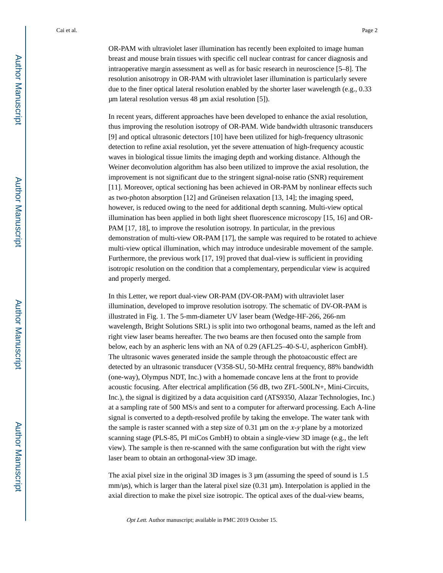OR-PAM with ultraviolet laser illumination has recently been exploited to image human breast and mouse brain tissues with specific cell nuclear contrast for cancer diagnosis and intraoperative margin assessment as well as for basic research in neuroscience [5–8]. The resolution anisotropy in OR-PAM with ultraviolet laser illumination is particularly severe due to the finer optical lateral resolution enabled by the shorter laser wavelength (e.g., 0.33 μm lateral resolution versus 48 μm axial resolution [5]).

In recent years, different approaches have been developed to enhance the axial resolution, thus improving the resolution isotropy of OR-PAM. Wide bandwidth ultrasonic transducers [9] and optical ultrasonic detectors [10] have been utilized for high-frequency ultrasonic detection to refine axial resolution, yet the severe attenuation of high-frequency acoustic waves in biological tissue limits the imaging depth and working distance. Although the Weiner deconvolution algorithm has also been utilized to improve the axial resolution, the improvement is not significant due to the stringent signal-noise ratio (SNR) requirement [11]. Moreover, optical sectioning has been achieved in OR-PAM by nonlinear effects such as two-photon absorption [12] and Grüneisen relaxation [13, 14]; the imaging speed, however, is reduced owing to the need for additional depth scanning. Multi-view optical illumination has been applied in both light sheet fluorescence microscopy [15, 16] and OR-PAM [17, 18], to improve the resolution isotropy. In particular, in the previous demonstration of multi-view OR-PAM [17], the sample was required to be rotated to achieve multi-view optical illumination, which may introduce undesirable movement of the sample. Furthermore, the previous work [17, 19] proved that dual-view is sufficient in providing isotropic resolution on the condition that a complementary, perpendicular view is acquired and properly merged.

In this Letter, we report dual-view OR-PAM (DV-OR-PAM) with ultraviolet laser illumination, developed to improve resolution isotropy. The schematic of DV-OR-PAM is illustrated in Fig. 1. The 5-mm-diameter UV laser beam (Wedge-HF-266, 266-nm wavelength, Bright Solutions SRL) is split into two orthogonal beams, named as the left and right view laser beams hereafter. The two beams are then focused onto the sample from below, each by an aspheric lens with an NA of 0.29 (AFL25–40-S-U, asphericon GmbH). The ultrasonic waves generated inside the sample through the photoacoustic effect are detected by an ultrasonic transducer (V358-SU, 50-MHz central frequency, 88% bandwidth (one-way), Olympus NDT, Inc.) with a homemade concave lens at the front to provide acoustic focusing. After electrical amplification (56 dB, two ZFL-500LN+, Mini-Circuits, Inc.), the signal is digitized by a data acquisition card (ATS9350, Alazar Technologies, Inc.) at a sampling rate of 500 MS/s and sent to a computer for afterward processing. Each A-line signal is converted to a depth-resolved profile by taking the envelope. The water tank with the sample is raster scanned with a step size of 0.31  $\mu$ m on the x-y plane by a motorized scanning stage (PLS-85, PI miCos GmbH) to obtain a single-view 3D image (e.g., the left view). The sample is then re-scanned with the same configuration but with the right view laser beam to obtain an orthogonal-view 3D image.

The axial pixel size in the original 3D images is 3 μm (assuming the speed of sound is 1.5 mm/μs), which is larger than the lateral pixel size (0.31 μm). Interpolation is applied in the axial direction to make the pixel size isotropic. The optical axes of the dual-view beams,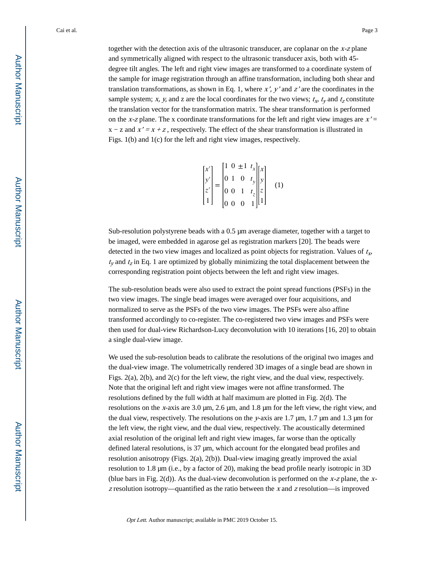together with the detection axis of the ultrasonic transducer, are coplanar on the  $x-z$  plane and symmetrically aligned with respect to the ultrasonic transducer axis, both with 45 degree tilt angles. The left and right view images are transformed to a coordinate system of the sample for image registration through an affine transformation, including both shear and translation transformations, as shown in Eq. 1, where  $x'$ ,  $y'$  and  $z'$  are the coordinates in the sample system; x, y, and z are the local coordinates for the two views;  $t_x$ ,  $t_y$  and  $t_z$  constitute the translation vector for the transformation matrix. The shear transformation is performed on the x-z plane. The x coordinate transformations for the left and right view images are  $x' =$  $x - z$  and  $x' = x + z$ , respectively. The effect of the shear transformation is illustrated in Figs. 1(b) and 1(c) for the left and right view images, respectively.

$$
\begin{bmatrix} x' \\ y' \\ z' \\ 1 \end{bmatrix} = \begin{bmatrix} 1 & 0 & \pm 1 & t_x \\ 0 & 1 & 0 & t_y \\ 0 & 0 & 1 & t_z \\ 0 & 0 & 0 & 1 \end{bmatrix} \begin{bmatrix} x \\ y \\ z \\ 1 \end{bmatrix}
$$
 (1)

Sub-resolution polystyrene beads with a 0.5 μm average diameter, together with a target to be imaged, were embedded in agarose gel as registration markers [20]. The beads were detected in the two view images and localized as point objects for registration. Values of  $t_x$ ,  $t_y$  and  $t_z$  in Eq. 1 are optimized by globally minimizing the total displacement between the corresponding registration point objects between the left and right view images.

The sub-resolution beads were also used to extract the point spread functions (PSFs) in the two view images. The single bead images were averaged over four acquisitions, and normalized to serve as the PSFs of the two view images. The PSFs were also affine transformed accordingly to co-register. The co-registered two view images and PSFs were then used for dual-view Richardson-Lucy deconvolution with 10 iterations [16, 20] to obtain a single dual-view image.

We used the sub-resolution beads to calibrate the resolutions of the original two images and the dual-view image. The volumetrically rendered 3D images of a single bead are shown in Figs. 2(a), 2(b), and 2(c) for the left view, the right view, and the dual view, respectively. Note that the original left and right view images were not affine transformed. The resolutions defined by the full width at half maximum are plotted in Fig. 2(d). The resolutions on the x-axis are 3.0 μm, 2.6 μm, and 1.8 μm for the left view, the right view, and the dual view, respectively. The resolutions on the y-axis are 1.7  $\mu$ m, 1.7  $\mu$ m and 1.3  $\mu$ m for the left view, the right view, and the dual view, respectively. The acoustically determined axial resolution of the original left and right view images, far worse than the optically defined lateral resolutions, is 37 μm, which account for the elongated bead profiles and resolution anisotropy (Figs. 2(a), 2(b)). Dual-view imaging greatly improved the axial resolution to 1.8 μm (i.e., by a factor of 20), making the bead profile nearly isotropic in 3D (blue bars in Fig. 2(d)). As the dual-view deconvolution is performed on the x-z plane, the x $z$  resolution isotropy—quantified as the ratio between the  $x$  and  $z$  resolution—is improved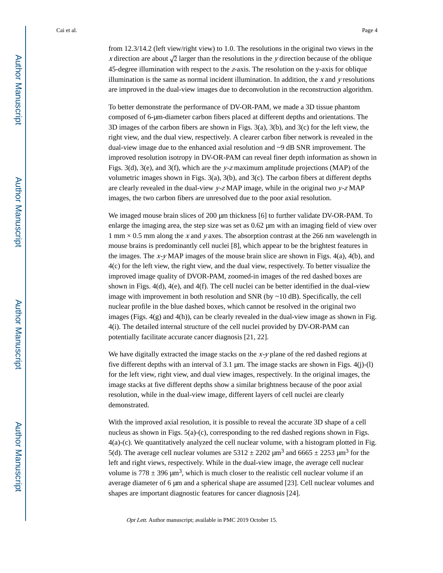from 12.3/14.2 (left view/right view) to 1.0. The resolutions in the original two views in the x direction are about  $\sqrt{2}$  larger than the resolutions in the y direction because of the oblique 45-degree illumination with respect to the z-axis. The resolution on the y-axis for oblique illumination is the same as normal incident illumination. In addition, the  $x$  and  $y$  resolutions are improved in the dual-view images due to deconvolution in the reconstruction algorithm.

To better demonstrate the performance of DV-OR-PAM, we made a 3D tissue phantom composed of 6-μm-diameter carbon fibers placed at different depths and orientations. The 3D images of the carbon fibers are shown in Figs. 3(a), 3(b), and 3(c) for the left view, the right view, and the dual view, respectively. A clearer carbon fiber network is revealed in the dual-view image due to the enhanced axial resolution and ~9 dB SNR improvement. The improved resolution isotropy in DV-OR-PAM can reveal finer depth information as shown in Figs. 3(d), 3(e), and 3(f), which are the y-z maximum amplitude projections (MAP) of the volumetric images shown in Figs. 3(a), 3(b), and 3(c). The carbon fibers at different depths are clearly revealed in the dual-view  $y$ -z MAP image, while in the original two  $y$ -z MAP images, the two carbon fibers are unresolved due to the poor axial resolution.

We imaged mouse brain slices of 200 μm thickness [6] to further validate DV-OR-PAM. To enlarge the imaging area, the step size was set as 0.62 μm with an imaging field of view over  $1 \text{ mm} \times 0.5 \text{ mm}$  along the x and y axes. The absorption contrast at the 266 nm wavelength in mouse brains is predominantly cell nuclei [8], which appear to be the brightest features in the images. The  $x-y$  MAP images of the mouse brain slice are shown in Figs. 4(a), 4(b), and 4(c) for the left view, the right view, and the dual view, respectively. To better visualize the improved image quality of DVOR-PAM, zoomed-in images of the red dashed boxes are shown in Figs. 4(d), 4(e), and 4(f). The cell nuclei can be better identified in the dual-view image with improvement in both resolution and SNR (by  $\sim$  10 dB). Specifically, the cell nuclear profile in the blue dashed boxes, which cannot be resolved in the original two images (Figs.  $4(g)$  and  $4(h)$ ), can be clearly revealed in the dual-view image as shown in Fig. 4(i). The detailed internal structure of the cell nuclei provided by DV-OR-PAM can potentially facilitate accurate cancer diagnosis [21, 22].

We have digitally extracted the image stacks on the  $x-y$  plane of the red dashed regions at five different depths with an interval of 3.1  $\mu$ m. The image stacks are shown in Figs. 4(j)-(l) for the left view, right view, and dual view images, respectively. In the original images, the image stacks at five different depths show a similar brightness because of the poor axial resolution, while in the dual-view image, different layers of cell nuclei are clearly demonstrated.

With the improved axial resolution, it is possible to reveal the accurate 3D shape of a cell nucleus as shown in Figs. 5(a)-(c), corresponding to the red dashed regions shown in Figs. 4(a)-(c). We quantitatively analyzed the cell nuclear volume, with a histogram plotted in Fig. 5(d). The average cell nuclear volumes are  $5312 \pm 2202 \mu m^3$  and  $6665 \pm 2253 \mu m^3$  for the left and right views, respectively. While in the dual-view image, the average cell nuclear volume is  $778 \pm 396 \,\text{\upmu m}^3$ , which is much closer to the realistic cell nuclear volume if an average diameter of 6 μm and a spherical shape are assumed [23]. Cell nuclear volumes and shapes are important diagnostic features for cancer diagnosis [24].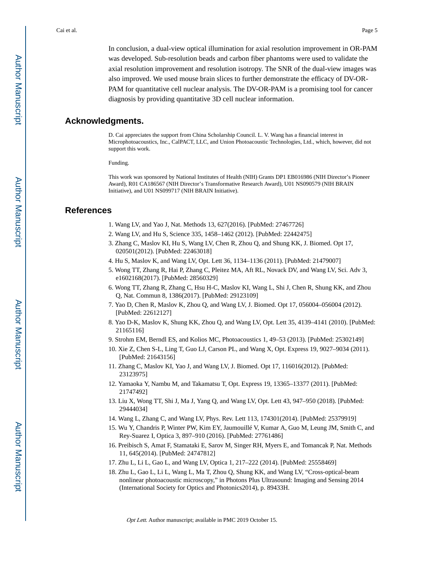In conclusion, a dual-view optical illumination for axial resolution improvement in OR-PAM was developed. Sub-resolution beads and carbon fiber phantoms were used to validate the axial resolution improvement and resolution isotropy. The SNR of the dual-view images was also improved. We used mouse brain slices to further demonstrate the efficacy of DV-OR-PAM for quantitative cell nuclear analysis. The DV-OR-PAM is a promising tool for cancer diagnosis by providing quantitative 3D cell nuclear information.

#### **Acknowledgments.**

D. Cai appreciates the support from China Scholarship Council. L. V. Wang has a financial interest in Microphotoacoustics, Inc., CalPACT, LLC, and Union Photoacoustic Technologies, Ltd., which, however, did not support this work.

Funding.

This work was sponsored by National Institutes of Health (NIH) Grants DP1 EB016986 (NIH Director's Pioneer Award), R01 CA186567 (NIH Director's Transformative Research Award), U01 NS090579 (NIH BRAIN Initiative), and U01 NS099717 (NIH BRAIN Initiative).

# **References**

- 1. Wang LV, and Yao J, Nat. Methods 13, 627(2016). [PubMed: 27467726]
- 2. Wang LV, and Hu S, Science 335, 1458–1462 (2012). [PubMed: 22442475]
- 3. Zhang C, Maslov KI, Hu S, Wang LV, Chen R, Zhou Q, and Shung KK, J. Biomed. Opt 17, 020501(2012). [PubMed: 22463018]
- 4. Hu S, Maslov K, and Wang LV, Opt. Lett 36, 1134–1136 (2011). [PubMed: 21479007]
- 5. Wong TT, Zhang R, Hai P, Zhang C, Pleitez MA, Aft RL, Novack DV, and Wang LV, Sci. Adv 3, e1602168(2017). [PubMed: 28560329]
- 6. Wong TT, Zhang R, Zhang C, Hsu H-C, Maslov KI, Wang L, Shi J, Chen R, Shung KK, and Zhou Q, Nat. Commun 8, 1386(2017). [PubMed: 29123109]
- 7. Yao D, Chen R, Maslov K, Zhou Q, and Wang LV, J. Biomed. Opt 17, 056004–056004 (2012). [PubMed: 22612127]
- 8. Yao D-K, Maslov K, Shung KK, Zhou Q, and Wang LV, Opt. Lett 35, 4139–4141 (2010). [PubMed: 21165116]
- 9. Strohm EM, Berndl ES, and Kolios MC, Photoacoustics 1, 49–53 (2013). [PubMed: 25302149]
- 10. Xie Z, Chen S-L, Ling T, Guo LJ, Carson PL, and Wang X, Opt. Express 19, 9027–9034 (2011). [PubMed: 21643156]
- 11. Zhang C, Maslov KI, Yao J, and Wang LV, J. Biomed. Opt 17, 116016(2012). [PubMed: 23123975]
- 12. Yamaoka Y, Nambu M, and Takamatsu T, Opt. Express 19, 13365–13377 (2011). [PubMed: 21747492]
- 13. Liu X, Wong TT, Shi J, Ma J, Yang Q, and Wang LV, Opt. Lett 43, 947–950 (2018). [PubMed: 29444034]
- 14. Wang L, Zhang C, and Wang LV, Phys. Rev. Lett 113, 174301(2014). [PubMed: 25379919]
- 15. Wu Y, Chandris P, Winter PW, Kim EY, Jaumouillé V, Kumar A, Guo M, Leung JM, Smith C, and Rey-Suarez I, Optica 3, 897–910 (2016). [PubMed: 27761486]
- 16. Preibisch S, Amat F, Stamataki E, Sarov M, Singer RH, Myers E, and Tomancak P, Nat. Methods 11, 645(2014). [PubMed: 24747812]
- 17. Zhu L, Li L, Gao L, and Wang LV, Optica 1, 217–222 (2014). [PubMed: 25558469]
- 18. Zhu L, Gao L, Li L, Wang L, Ma T, Zhou Q, Shung KK, and Wang LV, "Cross-optical-beam nonlinear photoacoustic microscopy," in Photons Plus Ultrasound: Imaging and Sensing 2014 (International Society for Optics and Photonics2014), p. 89433H.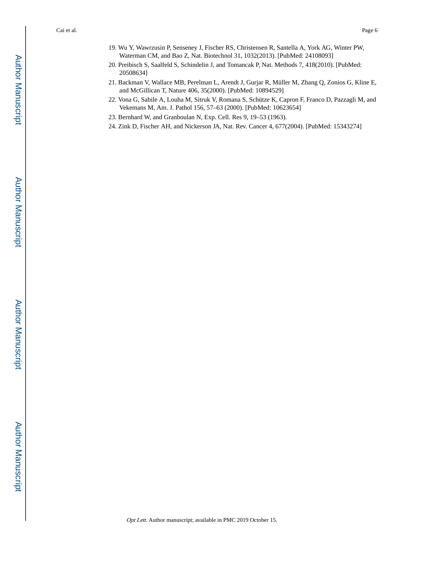- 19. Wu Y, Wawrzusin P, Senseney J, Fischer RS, Christensen R, Santella A, York AG, Winter PW, Waterman CM, and Bao Z, Nat. Biotechnol 31, 1032(2013). [PubMed: 24108093]
- 20. Preibisch S, Saalfeld S, Schindelin J, and Tomancak P, Nat. Methods 7, 418(2010). [PubMed: 20508634]
- 21. Backman V, Wallace MB, Perelman L, Arendt J, Gurjar R, Müller M, Zhang Q, Zonios G, Kline E, and McGillican T, Nature 406, 35(2000). [PubMed: 10894529]
- 22. Vona G, Sabile A, Louha M, Sitruk V, Romana S, Schütze K, Capron F, Franco D, Pazzagli M, and Vekemans M, Am. J. Pathol 156, 57–63 (2000). [PubMed: 10623654]
- 23. Bernhard W, and Granboulan N, Exp. Cell. Res 9, 19–53 (1963).
- 24. Zink D, Fischer AH, and Nickerson JA, Nat. Rev. Cancer 4, 677(2004). [PubMed: 15343274]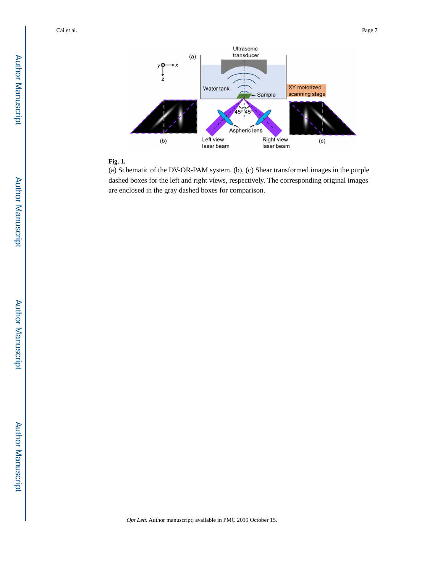

#### **Fig. 1.**

(a) Schematic of the DV-OR-PAM system. (b), (c) Shear transformed images in the purple dashed boxes for the left and right views, respectively. The corresponding original images are enclosed in the gray dashed boxes for comparison.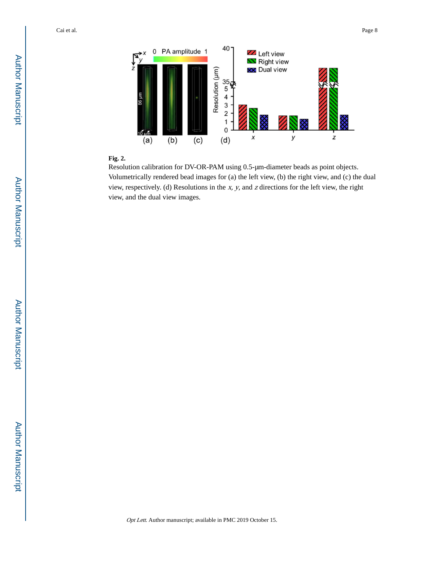

#### **Fig. 2.**

Resolution calibration for DV-OR-PAM using 0.5-μm-diameter beads as point objects. Volumetrically rendered bead images for (a) the left view, (b) the right view, and (c) the dual view, respectively. (d) Resolutions in the  $x$ ,  $y$ , and  $z$  directions for the left view, the right view, and the dual view images.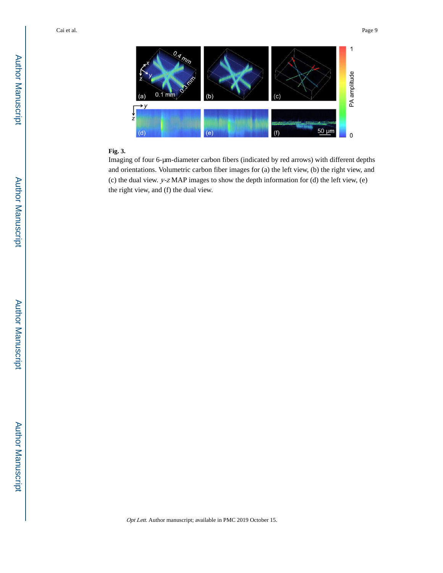

#### **Fig. 3.**

Imaging of four 6-μm-diameter carbon fibers (indicated by red arrows) with different depths and orientations. Volumetric carbon fiber images for (a) the left view, (b) the right view, and (c) the dual view. y-z MAP images to show the depth information for (d) the left view, (e) the right view, and (f) the dual view.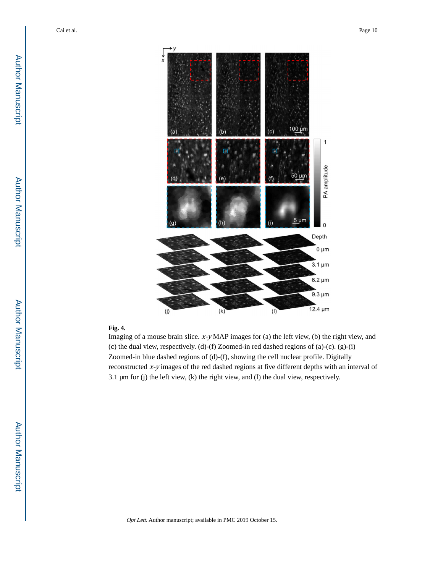

#### **Fig. 4.**

Imaging of a mouse brain slice. x-y MAP images for (a) the left view, (b) the right view, and (c) the dual view, respectively. (d)-(f) Zoomed-in red dashed regions of (a)-(c). (g)-(i) Zoomed-in blue dashed regions of (d)-(f), showing the cell nuclear profile. Digitally reconstructed x-y images of the red dashed regions at five different depths with an interval of 3.1 μm for (j) the left view, (k) the right view, and (l) the dual view, respectively.